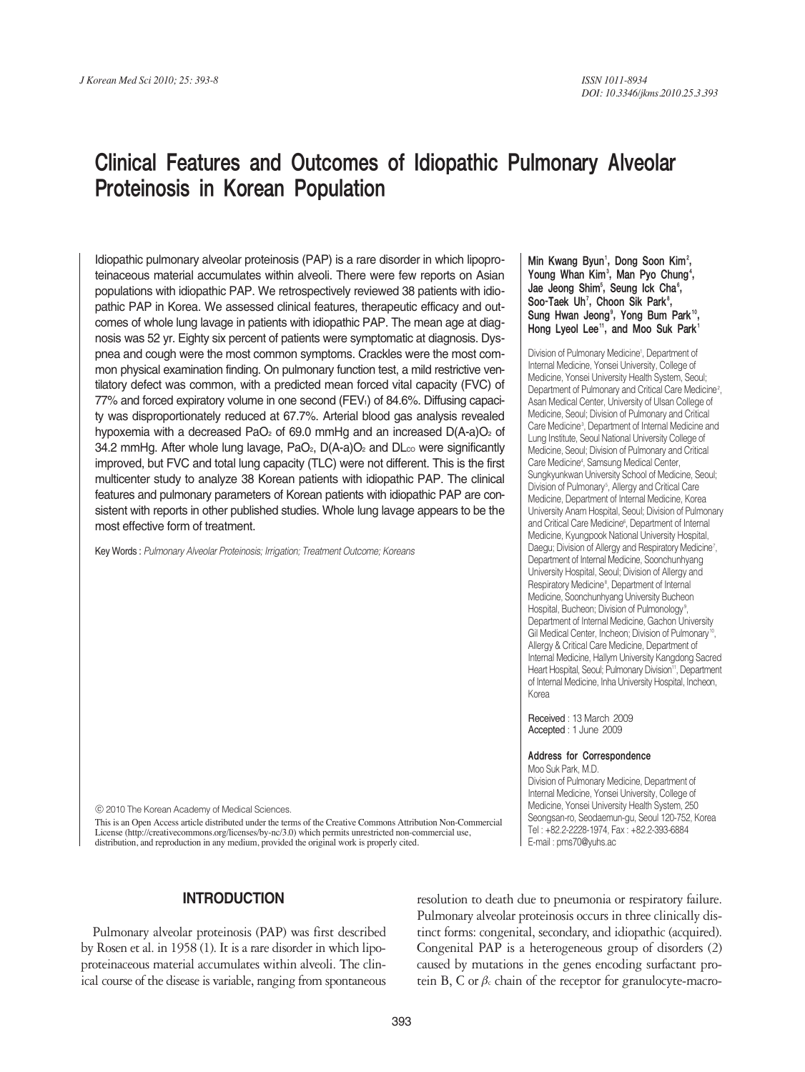# Clinical Features and Outcomes of Idiopathic Pulmonary Alveolar Proteinosis in Korean Population

Idiopathic pulmonary alveolar proteinosis (PAP) is a rare disorder in which lipoproteinaceous material accumulates within alveoli. There were few reports on Asian populations with idiopathic PAP. We retrospectively reviewed 38 patients with idiopathic PAP in Korea. We assessed clinical features, therapeutic efficacy and outcomes of whole lung lavage in patients with idiopathic PAP. The mean age at diagnosis was 52 yr. Eighty six percent of patients were symptomatic at diagnosis. Dyspnea and cough were the most common symptoms. Crackles were the most common physical examination finding. On pulmonary function test, a mild restrictive ventilatory defect was common, with a predicted mean forced vital capacity (FVC) of 77% and forced expiratory volume in one second (FEV<sub>1</sub>) of 84.6%. Diffusing capacity was disproportionately reduced at 67.7%. Arterial blood gas analysis revealed hypoxemia with a decreased PaO<sub>2</sub> of 69.0 mmHg and an increased  $D(A-a)O_2$  of 34.2 mmHg. After whole lung lavage,  $PaO<sub>2</sub>$ ,  $D(A-a)O<sub>2</sub>$  and  $DLo<sub>0</sub>$  were significantly improved, but FVC and total lung capacity (TLC) were not different. This is the first multicenter study to analyze 38 Korean patients with idiopathic PAP. The clinical features and pulmonary parameters of Korean patients with idiopathic PAP are consistent with reports in other published studies. Whole lung lavage appears to be the most effective form of treatment.

Key Words : *Pulmonary Alveolar Proteinosis; Irrigation; Treatment Outcome; Koreans*

Min Kwang Byun<sup>1</sup>, Dong Soon Kim<sup>2</sup>, Young Whan Kim<sup>3</sup>, Man Pyo Chung<sup>4</sup>, Jae Jeong Shim<sup>s</sup>, Seung Ick Cha<sup>s</sup>, Soo-Taek Uh<sup>7</sup>, Choon Sik Park<sup>8</sup>, Sung Hwan Jeong<sup>9</sup>, Yong Bum Park<sup>10</sup>, Hong Lyeol Lee<sup>11</sup>, and Moo Suk Park<sup>1</sup>

Division of Pulmonary Medicine<sup>1</sup>, Department of Internal Medicine, Yonsei University, College of Medicine, Yonsei University Health System, Seoul; Department of Pulmonary and Critical Care Medicine<sup>2</sup>, Asan Medical Center, University of Ulsan College of Medicine, Seoul; Division of Pulmonary and Critical Care Medicine3 , Department of Internal Medicine and Lung Institute, Seoul National University College of Medicine, Seoul; Division of Pulmonary and Critical Care Medicine4 , Samsung Medical Center, Sungkyunkwan University School of Medicine, Seoul; Division of Pulmonary<sup>s</sup>, Allergy and Critical Care Medicine, Department of Internal Medicine, Korea University Anam Hospital, Seoul; Division of Pulmonary and Critical Care Medicine<sup>6</sup>, Department of Internal Medicine, Kyungpook National University Hospital, Daegu; Division of Allergy and Respiratory Medicine<sup>7</sup>, Department of Internal Medicine, Soonchunhyang University Hospital, Seoul; Division of Allergy and Respiratory Medicine<sup>8</sup>, Department of Internal Medicine, Soonchunhyang University Bucheon Hospital, Bucheon; Division of Pulmonology<sup>9</sup>, Department of Internal Medicine, Gachon University Gil Medical Center, Incheon; Division of Pulmonary<sup>10</sup>, Allergy & Critical Care Medicine, Department of Internal Medicine, Hallym University Kangdong Sacred Heart Hospital, Seoul; Pulmonary Division<sup>11</sup>, Department of Internal Medicine, Inha University Hospital, Incheon, Korea

Received : 13 March 2009 Accepted : 1 June 2009

#### Address for Correspondence

Moo Suk Park, M.D. Division of Pulmonary Medicine, Department of Internal Medicine, Yonsei University, College of Medicine, Yonsei University Health System, 250 Seongsan-ro, Seodaemun-gu, Seoul 120-752, Korea Tel : +82.2-2228-1974, Fax : +82.2-393-6884 E-mail : pms70@yuhs.ac

ⓒ 2010 The Korean Academy of Medical Sciences.

This is an Open Access article distributed under the terms of the Creative Commons Attribution Non-Commercial License (http://creativecommons.org/licenses/by-nc/3.0) which permits unrestricted non-commercial use, distribution, and reproduction in any medium, provided the original work is properly cited.

# **INTRODUCTION**

Pulmonary alveolar proteinosis (PAP) was first described by Rosen et al. in 1958 (1). It is a rare disorder in which lipoproteinaceous material accumulates within alveoli. The clinical course of the disease is variable, ranging from spontaneous resolution to death due to pneumonia or respiratory failure. Pulmonary alveolar proteinosis occurs in three clinically distinct forms: congenital, secondary, and idiopathic (acquired). Congenital PAP is a heterogeneous group of disorders (2) caused by mutations in the genes encoding surfactant protein B, C or  $\beta_c$  chain of the receptor for granulocyte-macro-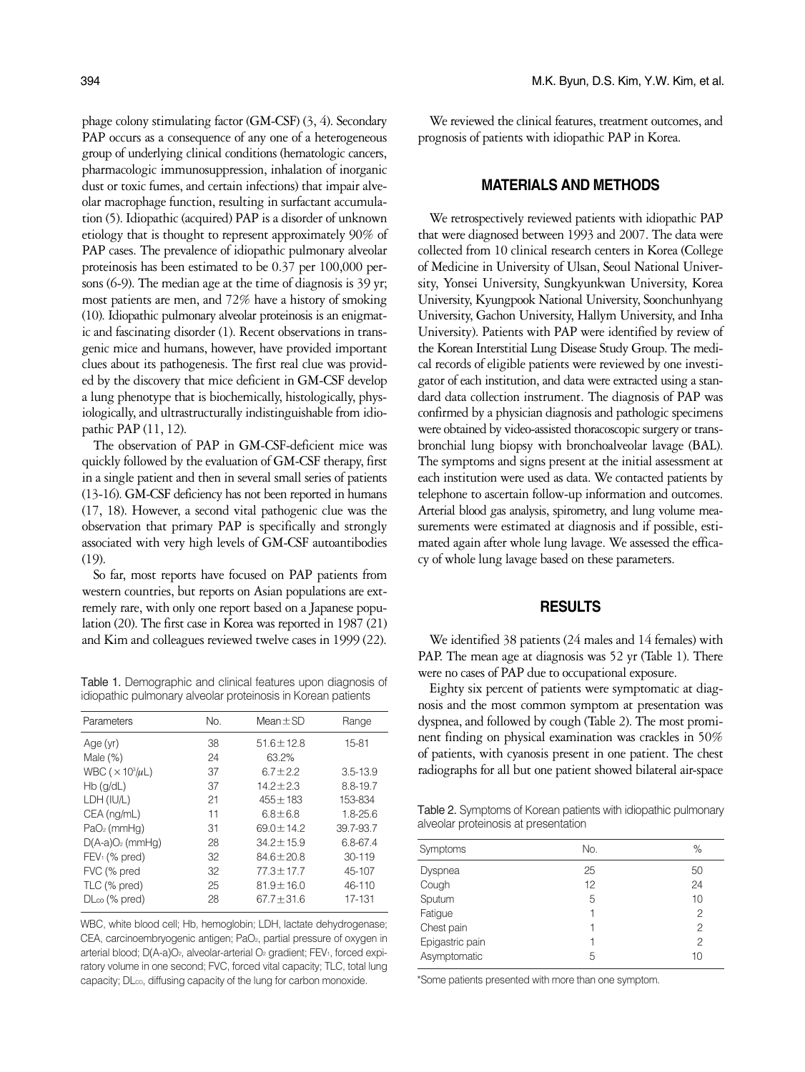phage colony stimulating factor (GM-CSF) (3, 4). Secondary PAP occurs as a consequence of any one of a heterogeneous group of underlying clinical conditions (hematologic cancers, pharmacologic immunosuppression, inhalation of inorganic dust or toxic fumes, and certain infections) that impair alveolar macrophage function, resulting in surfactant accumulation (5). Idiopathic (acquired) PAP is a disorder of unknown etiology that is thought to represent approximately 90% of PAP cases. The prevalence of idiopathic pulmonary alveolar proteinosis has been estimated to be 0.37 per 100,000 persons (6-9). The median age at the time of diagnosis is 39 yr; most patients are men, and 72% have a history of smoking (10). Idiopathic pulmonary alveolar proteinosis is an enigmatic and fascinating disorder (1). Recent observations in transgenic mice and humans, however, have provided important clues about its pathogenesis. The first real clue was provided by the discovery that mice deficient in GM-CSF develop a lung phenotype that is biochemically, histologically, physiologically, and ultrastructurally indistinguishable from idiopathic PAP (11, 12).

The observation of PAP in GM-CSF-deficient mice was quickly followed by the evaluation of GM-CSF therapy, first in a single patient and then in several small series of patients (13-16). GM-CSF deficiency has not been reported in humans (17, 18). However, a second vital pathogenic clue was the observation that primary PAP is specifically and strongly associated with very high levels of GM-CSF autoantibodies (19).

So far, most reports have focused on PAP patients from western countries, but reports on Asian populations are extremely rare, with only one report based on a Japanese population (20). The first case in Korea was reported in 1987 (21) and Kim and colleagues reviewed twelve cases in 1999 (22).

Table 1. Demographic and clinical features upon diagnosis of idiopathic pulmonary alveolar proteinosis in Korean patients

| Parameters                                | No. | Mean $\pm$ SD   | Range        |
|-------------------------------------------|-----|-----------------|--------------|
| Age(yr)                                   | 38  | $51.6 \pm 12.8$ | 15-81        |
| Male $(\%)$                               | 24  | 63.2%           |              |
| WBC ( $\times$ 10 <sup>3</sup> / $\mu$ L) | 37  | $6.7 \pm 2.2$   | $3.5 - 13.9$ |
| $Hb$ ( $q/dL$ )                           | 37  | $14.2 \pm 2.3$  | 8.8-19.7     |
| LDH (IU/L)                                | 21  | $455 \pm 183$   | 153-834      |
| CEA (ng/mL)                               | 11  | $6.8 \pm 6.8$   | $1.8 - 25.6$ |
| $PaO2$ (mmHg)                             | 31  | $69.0 \pm 14.2$ | 39.7-93.7    |
| $D(A-a)O2$ (mmHg)                         | 28  | $34.2 \pm 15.9$ | 6.8-67.4     |
| $FEV1$ (% pred)                           | 32  | $84.6 \pm 20.8$ | $30 - 119$   |
| FVC (% pred                               | 32  | $77.3 \pm 17.7$ | 45-107       |
| TLC (% pred)                              | 25  | $81.9 \pm 16.0$ | $46 - 110$   |
| $D\nCo$ (% pred)                          | 28  | $67.7 \pm 31.6$ | 17-131       |
|                                           |     |                 |              |

WBC, white blood cell; Hb, hemoglobin; LDH, lactate dehydrogenase; CEA, carcinoembryogenic antigen; PaO<sub>2</sub>, partial pressure of oxygen in arterial blood; D(A-a)O<sub>2</sub>, alveolar-arterial O<sub>2</sub> gradient; FEV<sub>1</sub>, forced expiratory volume in one second; FVC, forced vital capacity; TLC, total lung capacity; DLCO, diffusing capacity of the lung for carbon monoxide. \*Some patients presented with more than one symptom.

We reviewed the clinical features, treatment outcomes, and prognosis of patients with idiopathic PAP in Korea.

### **MATERIALS AND METHODS**

We retrospectively reviewed patients with idiopathic PAP that were diagnosed between 1993 and 2007. The data were collected from 10 clinical research centers in Korea (College of Medicine in University of Ulsan, Seoul National University, Yonsei University, Sungkyunkwan University, Korea University, Kyungpook National University, Soonchunhyang University, Gachon University, Hallym University, and Inha University). Patients with PAP were identified by review of the Korean Interstitial Lung Disease Study Group. The medical records of eligible patients were reviewed by one investigator of each institution, and data were extracted using a standard data collection instrument. The diagnosis of PAP was confirmed by a physician diagnosis and pathologic specimens were obtained by video-assisted thoracoscopic surgery or transbronchial lung biopsy with bronchoalveolar lavage (BAL). The symptoms and signs present at the initial assessment at each institution were used as data. We contacted patients by telephone to ascertain follow-up information and outcomes. Arterial blood gas analysis, spirometry, and lung volume measurements were estimated at diagnosis and if possible, estimated again after whole lung lavage. We assessed the efficacy of whole lung lavage based on these parameters.

#### **RESULTS**

We identified 38 patients (24 males and 14 females) with PAP. The mean age at diagnosis was 52 yr (Table 1). There were no cases of PAP due to occupational exposure.

Eighty six percent of patients were symptomatic at diagnosis and the most common symptom at presentation was dyspnea, and followed by cough (Table 2). The most prominent finding on physical examination was crackles in 50% of patients, with cyanosis present in one patient. The chest radiographs for all but one patient showed bilateral air-space

Table 2. Symptoms of Korean patients with idiopathic pulmonary alveolar proteinosis at presentation

| Symptoms        | No. | %              |
|-----------------|-----|----------------|
| Dyspnea         | 25  | 50             |
| Cough           | 12  | 24             |
| Sputum          | 5   | 10             |
| Fatigue         |     | $\mathfrak{D}$ |
| Chest pain      |     | 2              |
| Epigastric pain |     | 2              |
| Asymptomatic    | 5   | 10             |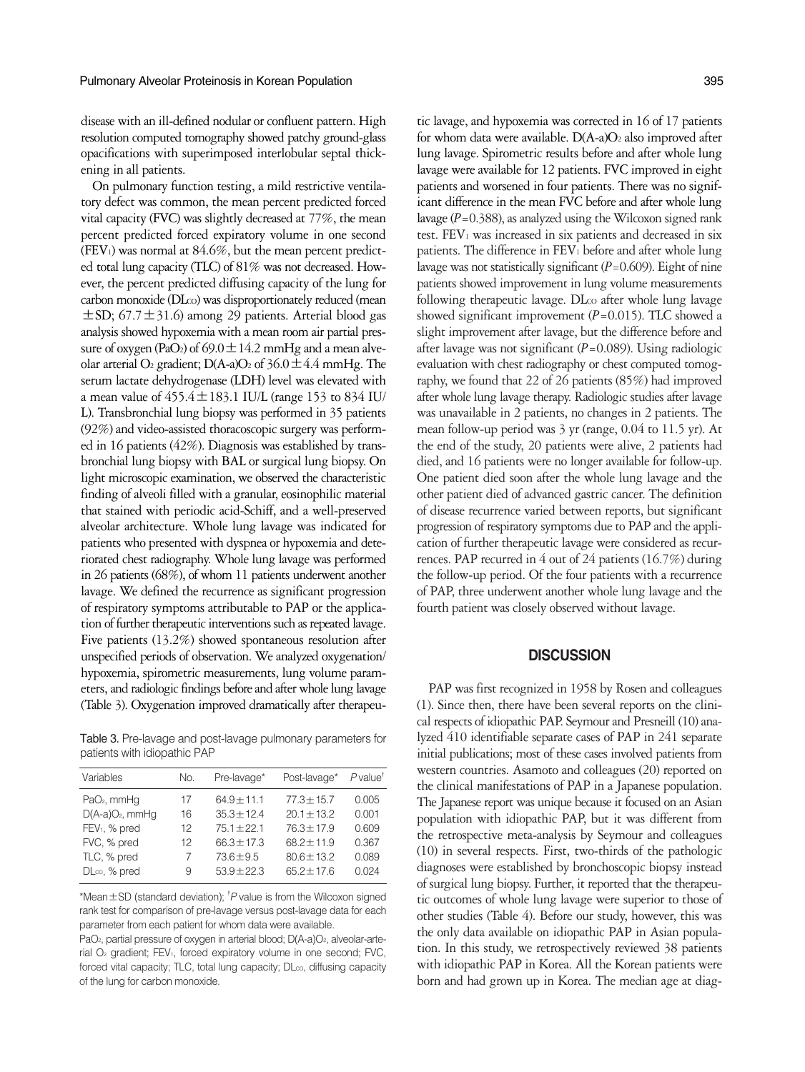disease with an ill-defined nodular or confluent pattern. High resolution computed tomography showed patchy ground-glass opacifications with superimposed interlobular septal thickening in all patients.

On pulmonary function testing, a mild restrictive ventilatory defect was common, the mean percent predicted forced vital capacity (FVC) was slightly decreased at 77%, the mean percent predicted forced expiratory volume in one second (FEV<sub>1</sub>) was normal at  $84.6\%$ , but the mean percent predicted total lung capacity (TLC) of 81% was not decreased. However, the percent predicted diffusing capacity of the lung for carbon monoxide (DLco) was disproportionately reduced (mean  $\pm$ SD; 67.7 $\pm$ 31.6) among 29 patients. Arterial blood gas analysis showed hypoxemia with a mean room air partial pressure of oxygen (PaO<sub>2</sub>) of  $69.0 \pm 14.2$  mmHg and a mean alveolar arterial O<sub>2</sub> gradient; D(A-a)O<sub>2</sub> of  $36.0 \pm 4.4$  mmHg. The serum lactate dehydrogenase (LDH) level was elevated with a mean value of  $455.4 \pm 183.1$  IU/L (range 153 to 834 IU/ L). Transbronchial lung biopsy was performed in 35 patients (92%) and video-assisted thoracoscopic surgery was performed in 16 patients (42%). Diagnosis was established by transbronchial lung biopsy with BAL or surgical lung biopsy. On light microscopic examination, we observed the characteristic finding of alveoli filled with a granular, eosinophilic material that stained with periodic acid-Schiff, and a well-preserved alveolar architecture. Whole lung lavage was indicated for patients who presented with dyspnea or hypoxemia and deteriorated chest radiography. Whole lung lavage was performed in 26 patients (68%), of whom 11 patients underwent another lavage. We defined the recurrence as significant progression of respiratory symptoms attributable to PAP or the application of further therapeutic interventions such as repeated lavage. Five patients (13.2%) showed spontaneous resolution after unspecified periods of observation. We analyzed oxygenation/ hypoxemia, spirometric measurements, lung volume parameters,and radiologic findings before and after whole lung lavage (Table 3). Oxygenation improved dramatically after therapeu-

Table 3. Pre-lavage and post-lavage pulmonary parameters for patients with idiopathic PAP

| Variables                 | No. | Pre-lavage*     | Post-lavage*    | $P$ value <sup><math>\overline{ }</math></sup> |
|---------------------------|-----|-----------------|-----------------|------------------------------------------------|
| PaO <sub>2</sub> , mmHg   | 17  | $64.9 \pm 11.1$ | $77.3 \pm 15.7$ | 0.005                                          |
| $D(A-a)O2$ , mmHq         | 16  | $35.3 \pm 12.4$ | $20.1 \pm 13.2$ | 0.001                                          |
| FEV <sub>1</sub> , % pred | 12  | $75.1 \pm 22.1$ | $76.3 \pm 17.9$ | 0.609                                          |
| FVC, % pred               | 12  | $66.3 \pm 17.3$ | $68.2 \pm 11.9$ | 0.367                                          |
| TLC, % pred               | 7   | $73.6 \pm 9.5$  | $80.6 \pm 13.2$ | 0.089                                          |
| DLco, % pred              | 9   | $53.9 \pm 22.3$ | $65.2 \pm 17.6$ | 0.024                                          |

\*Mean±SD (standard deviation); � *P* value is from the Wilcoxon signed rank test for comparison of pre-lavage versus post-lavage data for each parameter from each patient for whom data were available.

PaO<sub>2</sub>, partial pressure of oxygen in arterial blood; D(A-a)O<sub>2</sub>, alveolar-arterial O<sub>2</sub> gradient; FEV<sub>1</sub>, forced expiratory volume in one second; FVC, forced vital capacity; TLC, total lung capacity; DLco, diffusing capacity of the lung for carbon monoxide.

tic lavage, and hypoxemia was corrected in 16 of 17 patients for whom data were available.  $D(A-a)O_2$  also improved after lung lavage. Spirometric results before and after whole lung lavage were available for 12 patients. FVC improved in eight patients and worsened in four patients. There was no significant difference in the mean FVC before and after whole lung lavage (*P*=0.388), as analyzed using the Wilcoxon signed rank test. FEV<sub>1</sub> was increased in six patients and decreased in six patients. The difference in FEV1 before and after whole lung lavage was not statistically significant (*P*=0.609). Eight of nine patients showed improvement in lung volume measurements following therapeutic lavage. DLco after whole lung lavage showed significant improvement (*P*=0.015). TLC showed a slight improvement after lavage, but the difference before and after lavage was not significant (*P*=0.089). Using radiologic evaluation with chest radiography or chest computed tomography, we found that 22 of 26 patients (85%) had improved after whole lung lavage therapy. Radiologic studies after lavage was unavailable in 2 patients, no changes in 2 patients. The mean follow-up period was 3 yr (range, 0.04 to 11.5 yr). At the end of the study, 20 patients were alive, 2 patients had died, and 16 patients were no longer available for follow-up. One patient died soon after the whole lung lavage and the other patient died of advanced gastric cancer. The definition of disease recurrence varied between reports, but significant progression of respiratory symptoms due to PAP and the application of further therapeutic lavage were considered as recurrences. PAP recurred in 4 out of 24 patients (16.7%) during the follow-up period. Of the four patients with a recurrence of PAP, three underwent another whole lung lavage and the fourth patient was closely observed without lavage.

# **DISCUSSION**

PAP was first recognized in 1958 by Rosen and colleagues (1). Since then, there have been several reports on the clinical respects of idiopathic PAP. Seymour and Presneill (10) analyzed 410 identifiable separate cases of PAP in 241 separate initial publications; most of these cases involved patients from western countries. Asamoto and colleagues (20) reported on the clinical manifestations of PAP in a Japanese population. The Japanese report was unique because it focused on an Asian population with idiopathic PAP, but it was different from the retrospective meta-analysis by Seymour and colleagues (10) in several respects. First, two-thirds of the pathologic diagnoses were established by bronchoscopic biopsy instead of surgical lung biopsy. Further, it reported that the therapeutic outcomes of whole lung lavage were superior to those of other studies (Table 4). Before our study, however, this was the only data available on idiopathic PAP in Asian population. In this study, we retrospectively reviewed 38 patients with idiopathic PAP in Korea. All the Korean patients were born and had grown up in Korea. The median age at diag-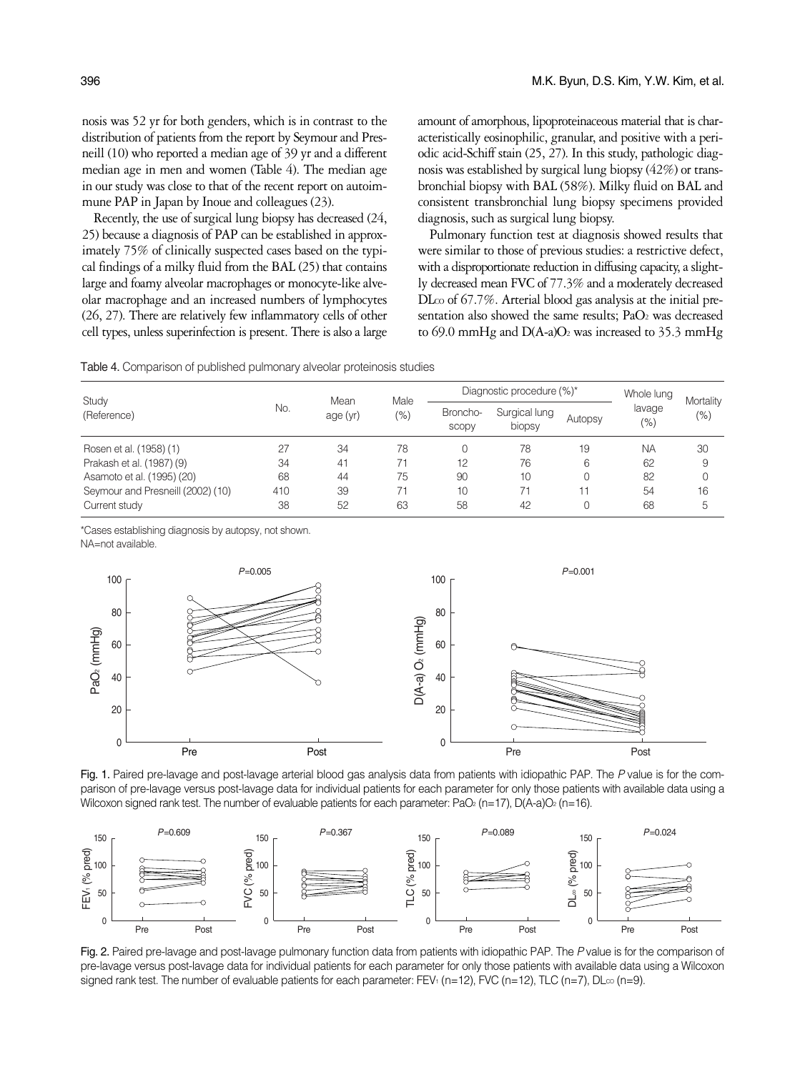nosis was 52 yr for both genders, which is in contrast to the distribution of patients from the report by Seymour and Presneill (10) who reported a median age of 39 yr and a different median age in men and women (Table 4). The median age in our study was close to that of the recent report on autoimmune PAP in Japan by Inoue and colleagues (23).

Recently, the use of surgical lung biopsy has decreased (24, 25) because a diagnosis of PAP can be established in approximately 75% of clinically suspected cases based on the typical findings of a milky fluid from the BAL (25) that contains large and foamy alveolar macrophages or monocyte-like alveolar macrophage and an increased numbers of lymphocytes (26, 27). There are relatively few inflammatory cells of other cell types, unless superinfection is present. There is also a large amount of amorphous, lipoproteinaceous material that is characteristically eosinophilic, granular, and positive with a periodic acid-Schiff stain (25, 27). In this study, pathologic diagnosis was established by surgical lung biopsy (42%) or transbronchial biopsy with BAL (58%). Milky fluid on BAL and consistent transbronchial lung biopsy specimens provided diagnosis, such as surgical lung biopsy.

Pulmonary function test at diagnosis showed results that were similar to those of previous studies: a restrictive defect, with a disproportionate reduction in diffusing capacity, a slightly decreased mean FVC of 77.3% and a moderately decreased DLco of 67.7%. Arterial blood gas analysis at the initial presentation also showed the same results; PaO<sub>2</sub> was decreased to 69.0 mmHg and  $D(A-a)O_2$  was increased to 35.3 mmHg

| Study<br>(Reference)              |     | Mean<br>age (yr) | Male<br>(% ) | Diagnostic procedure (%)* |                         |         | Whole lung     |                   |
|-----------------------------------|-----|------------------|--------------|---------------------------|-------------------------|---------|----------------|-------------------|
|                                   | No. |                  |              | Broncho-<br>SCODV         | Surgical lung<br>biopsy | Autopsy | lavage<br>(% ) | Mortality<br>(% ) |
| Rosen et al. (1958) (1)           |     | 34               | 78           | $\Omega$                  | 78                      | 19      | <b>NA</b>      | 30                |
| Prakash et al. (1987) (9)         | 34  | 41               | 71           | 12                        | 76                      | 6       | 62             | 9                 |
| Asamoto et al. (1995) (20)        | 68  | 44               | 75           | 90                        | 10                      |         | 82             |                   |
| Seymour and Presneill (2002) (10) | 410 | 39               | 71           | 10                        |                         |         | 54             | 16                |
| Current study                     | 38  | 52               | 63           | 58                        | 42                      |         | 68             | 5                 |

\*Cases establishing diagnosis by autopsy, not shown.

NA=not available.



Fig. 1. Paired pre-lavage and post-lavage arterial blood gas analysis data from patients with idiopathic PAP. The *P* value is for the comparison of pre-lavage versus post-lavage data for individual patients for each parameter for only those patients with available data using a Wilcoxon signed rank test. The number of evaluable patients for each parameter:  $PaO<sub>2</sub>$  (n=17), D(A-a)O<sub>2</sub> (n=16).



Fig. 2. Paired pre-lavage and post-lavage pulmonary function data from patients with idiopathic PAP. The *P* value is for the comparison of pre-lavage versus post-lavage data for individual patients for each parameter for only those patients with available data using a Wilcoxon signed rank test. The number of evaluable patients for each parameter: FEV<sub>1</sub> (n=12), FVC (n=12), TLC (n=7), DL $\infty$  (n=9).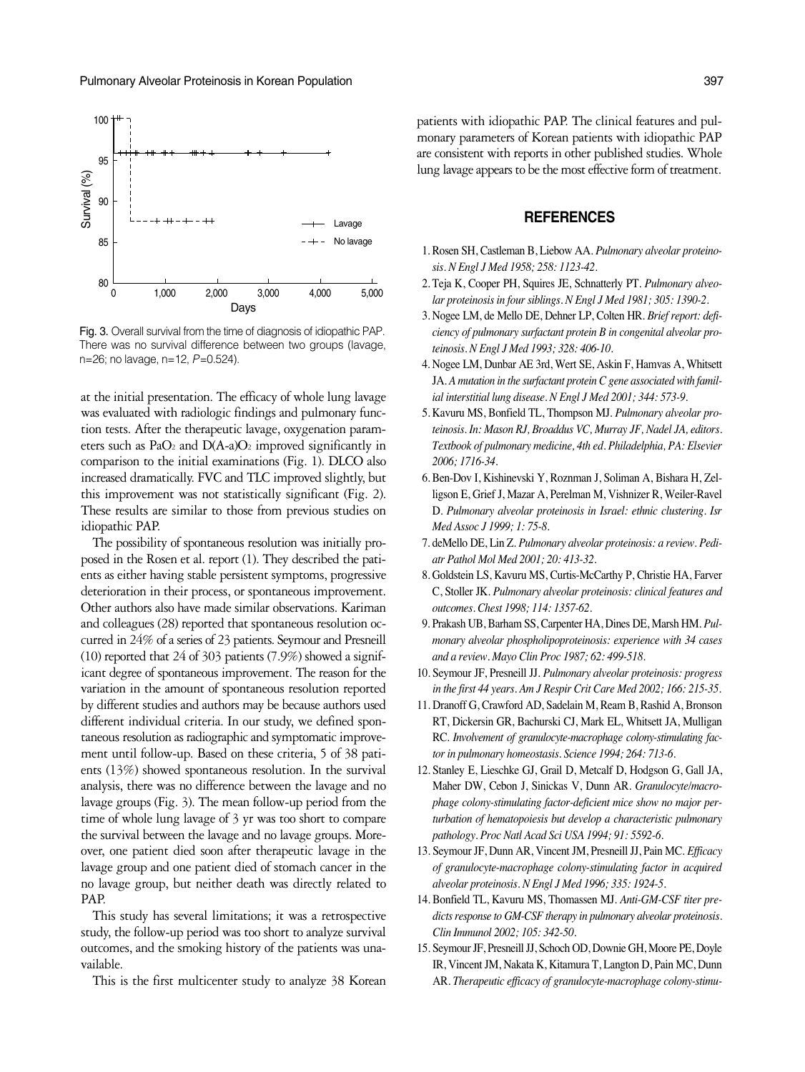

Fig. 3. Overall survival from the time of diagnosis of idiopathic PAP. There was no survival difference between two groups (lavage, n=26; no lavage, n=12, *P*=0.524).

at the initial presentation. The efficacy of whole lung lavage was evaluated with radiologic findings and pulmonary function tests. After the therapeutic lavage, oxygenation parameters such as  $PaO<sub>2</sub>$  and  $D(A-a)O<sub>2</sub>$  improved significantly in comparison to the initial examinations (Fig. 1). DLCO also increased dramatically. FVC and TLC improved slightly, but this improvement was not statistically significant (Fig. 2). These results are similar to those from previous studies on idiopathic PAP.

The possibility of spontaneous resolution was initially proposed in the Rosen et al. report (1). They described the patients as either having stable persistent symptoms, progressive deterioration in their process, or spontaneous improvement. Other authors also have made similar observations. Kariman and colleagues (28) reported that spontaneous resolution occurred in 24% of a series of 23 patients. Seymour and Presneill (10) reported that 24 of 303 patients (7.9%) showed a significant degree of spontaneous improvement. The reason for the variation in the amount of spontaneous resolution reported by different studies and authors may be because authors used different individual criteria. In our study, we defined spontaneous resolution as radiographic and symptomatic improvement until follow-up. Based on these criteria, 5 of 38 patients (13%) showed spontaneous resolution. In the survival analysis, there was no difference between the lavage and no lavage groups (Fig. 3). The mean follow-up period from the time of whole lung lavage of 3 yr was too short to compare the survival between the lavage and no lavage groups. Moreover, one patient died soon after therapeutic lavage in the lavage group and one patient died of stomach cancer in the no lavage group, but neither death was directly related to PAP.

This study has several limitations; it was a retrospective study, the follow-up period was too short to analyze survival outcomes, and the smoking history of the patients was unavailable.

This is the first multicenter study to analyze 38 Korean

patients with idiopathic PAP. The clinical features and pulmonary parameters of Korean patients with idiopathic PAP are consistent with reports in other published studies. Whole lung lavage appears to be the most effective form of treatment.

## **REFERENCES**

- 1. Rosen SH, Castleman B, Liebow AA. *Pulmonary alveolar proteinosis. N Engl J Med 1958; 258: 1123-42.*
- 2. Teja K, Cooper PH, Squires JE, Schnatterly PT. *Pulmonary alveolar proteinosis in four siblings. N Engl J Med 1981; 305: 1390-2.*
- 3. Nogee LM, de Mello DE, Dehner LP, Colten HR. *Brief report: deficiency of pulmonary surfactant protein B in congenital alveolar proteinosis. N Engl J Med 1993; 328: 406-10.*
- 4. Nogee LM, Dunbar AE 3rd, Wert SE, Askin F, Hamvas A, Whitsett JA. *A mutation in the surfactant protein C gene associated with familial interstitial lung disease. N Engl J Med 2001; 344: 573-9.*
- 5. Kavuru MS, Bonfield TL, Thompson MJ. *Pulmonary alveolar proteinosis. In: Mason RJ, Broaddus VC, Murray JF, Nadel JA, editors. Textbook of pulmonary medicine, 4th ed. Philadelphia, PA: Elsevier 2006; 1716-34.*
- 6. Ben-Dov I, Kishinevski Y, Roznman J, Soliman A, Bishara H, Zelligson E, Grief J, Mazar A, Perelman M, Vishnizer R, Weiler-Ravel D. *Pulmonary alveolar proteinosis in Israel: ethnic clustering. Isr Med Assoc J 1999; 1: 75-8.*
- 7. deMello DE, Lin Z. *Pulmonary alveolar proteinosis: a review. Pediatr Pathol Mol Med 2001; 20: 413-32.*
- 8. Goldstein LS, Kavuru MS, Curtis-McCarthy P, Christie HA, Farver C, Stoller JK. *Pulmonary alveolar proteinosis: clinical features and outcomes. Chest 1998; 114: 1357-62.*
- 9. Prakash UB, Barham SS, Carpenter HA, Dines DE, Marsh HM. *Pulmonary alveolar phospholipoproteinosis: experience with 34 cases and a review. Mayo Clin Proc 1987; 62: 499-518.*
- 10. Seymour JF, Presneill JJ. *Pulmonary alveolar proteinosis: progress in the first 44 years. Am J Respir Crit Care Med 2002; 166: 215-35.*
- 11. Dranoff G, Crawford AD, Sadelain M, Ream B, Rashid A, Bronson RT, Dickersin GR, Bachurski CJ, Mark EL, Whitsett JA, Mulligan RC. *Involvement of granulocyte-macrophage colony-stimulating factor in pulmonary homeostasis. Science 1994; 264: 713-6.*
- 12. Stanley E, Lieschke GJ, Grail D, Metcalf D, Hodgson G, Gall JA, Maher DW, Cebon J, Sinickas V, Dunn AR. *Granulocyte/macrophage colony-stimulating factor-deficient mice show no major perturbation of hematopoiesis but develop a characteristic pulmonary pathology. Proc Natl Acad Sci USA 1994; 91: 5592-6.*
- 13. Seymour JF, Dunn AR, Vincent JM, Presneill JJ, Pain MC. *Efficacy of granulocyte-macrophage colony-stimulating factor in acquired alveolar proteinosis. N Engl J Med 1996; 335: 1924-5.*
- 14. Bonfield TL, Kavuru MS, Thomassen MJ. *Anti-GM-CSF titer predicts response to GM-CSF therapy in pulmonary alveolar proteinosis. Clin Immunol 2002; 105: 342-50.*
- 15. Seymour JF, Presneill JJ, Schoch OD, Downie GH, Moore PE, Doyle IR, Vincent JM, Nakata K, Kitamura T, Langton D, Pain MC, Dunn AR. *Therapeutic efficacy of granulocyte-macrophage colony-stimu-*